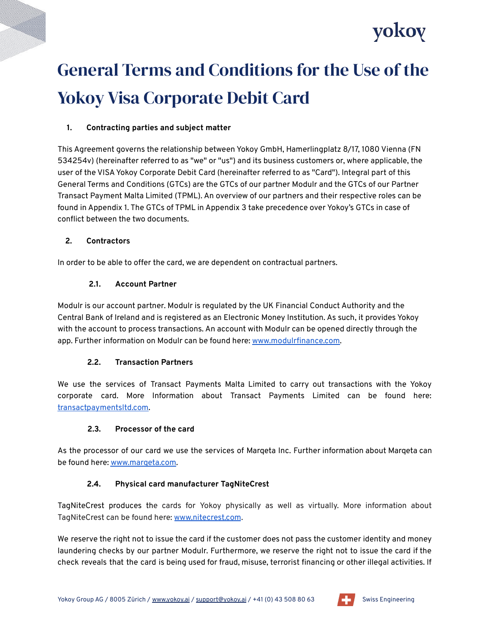

# General Terms and Conditions for the Use of the Yokoy Visa Corporate Debit Card

## **1. Contracting parties and subject matter**

This Agreement governs the relationship between Yokoy GmbH, Hamerlingplatz 8/17, 1080 Vienna (FN 534254v) (hereinafter referred to as "we" or "us") and its business customers or, where applicable, the user of the VISA Yokoy Corporate Debit Card (hereinafter referred to as "Card"). Integral part of this General Terms and Conditions (GTCs) are the GTCs of our partner Modulr and the GTCs of our Partner Transact Payment Malta Limited (TPML). An overview of our partners and their respective roles can be found in Appendix 1. The GTCs of TPML in Appendix 3 take precedence over Yokoy's GTCs in case of conflict between the two documents.

#### **2. Contractors**

In order to be able to offer the card, we are dependent on contractual partners.

## **2.1. Account Partner**

Modulr is our account partner. Modulr is regulated by the UK Financial Conduct Authority and the Central Bank of Ireland and is registered as an Electronic Money Institution. As such, it provides Yokoy with the account to process transactions. An account with Modulr can be opened directly through the app. Further information on Modulr can be found here: [www.modulrfinance.com.](https://www.modulrfinance.com/)

## **2.2. Transaction Partners**

We use the services of Transact Payments Malta Limited to carry out transactions with the Yokoy corporate card. More Information about Transact Payments Limited can be found here: [transactpaymentsltd.com.](http://transactpaymentsltd.com/)

## **2.3. Processor of the card**

As the processor of our card we use the services of Marqeta Inc. Further information about Marqeta can be found here: [www.marqeta.com](http://www.marqeta.com/).

## **2.4. Physical card manufacturer TagNiteCrest**

TagNiteCrest produces the cards for Yokoy physically as well as virtually. More information about TagNiteCrest can be found here: [www.nitecrest.com](https://www.nitecrest.com/).

We reserve the right not to issue the card if the customer does not pass the customer identity and money laundering checks by our partner Modulr. Furthermore, we reserve the right not to issue the card if the check reveals that the card is being used for fraud, misuse, terrorist financing or other illegal activities. If

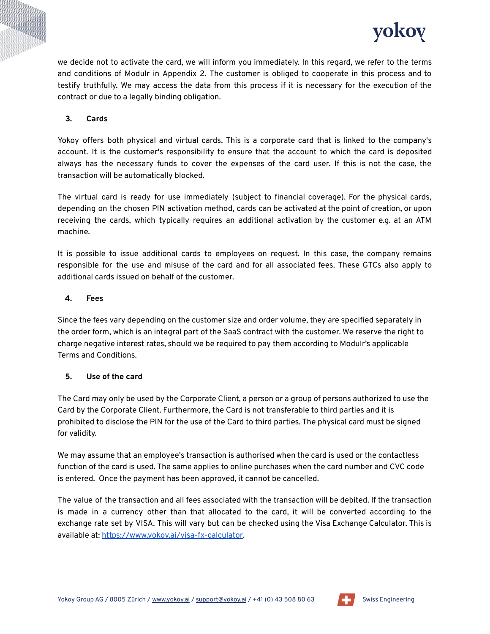

we decide not to activate the card, we will inform you immediately. In this regard, we refer to the terms and conditions of Modulr in Appendix 2. The customer is obliged to cooperate in this process and to testify truthfully. We may access the data from this process if it is necessary for the execution of the contract or due to a legally binding obligation.

#### **3. Cards**

Yokoy offers both physical and virtual cards. This is a corporate card that is linked to the company's account. It is the customer's responsibility to ensure that the account to which the card is deposited always has the necessary funds to cover the expenses of the card user. If this is not the case, the transaction will be automatically blocked.

The virtual card is ready for use immediately (subject to financial coverage). For the physical cards, depending on the chosen PIN activation method, cards can be activated at the point of creation, or upon receiving the cards, which typically requires an additional activation by the customer e.g. at an ATM machine.

It is possible to issue additional cards to employees on request. In this case, the company remains responsible for the use and misuse of the card and for all associated fees. These GTCs also apply to additional cards issued on behalf of the customer.

#### **4. Fees**

Since the fees vary depending on the customer size and order volume, they are specified separately in the order form, which is an integral part of the SaaS contract with the customer. We reserve the right to charge negative interest rates, should we be required to pay them according to Modulr's applicable Terms and Conditions.

#### **5. Use of the card**

The Card may only be used by the Corporate Client, a person or a group of persons authorized to use the Card by the Corporate Client. Furthermore, the Card is not transferable to third parties and it is prohibited to disclose the PIN for the use of the Card to third parties. The physical card must be signed for validity.

We may assume that an employee's transaction is authorised when the card is used or the contactless function of the card is used. The same applies to online purchases when the card number and CVC code is entered. Once the payment has been approved, it cannot be cancelled.

The value of the transaction and all fees associated with the transaction will be debited. If the transaction is made in a currency other than that allocated to the card, it will be converted according to the exchange rate set by VISA. This will vary but can be checked using the Visa Exchange Calculator. This is available at: [https://www.yokoy.ai/visa-fx-calculator.](https://www.yokoy.ai/visa-fx-calculator)

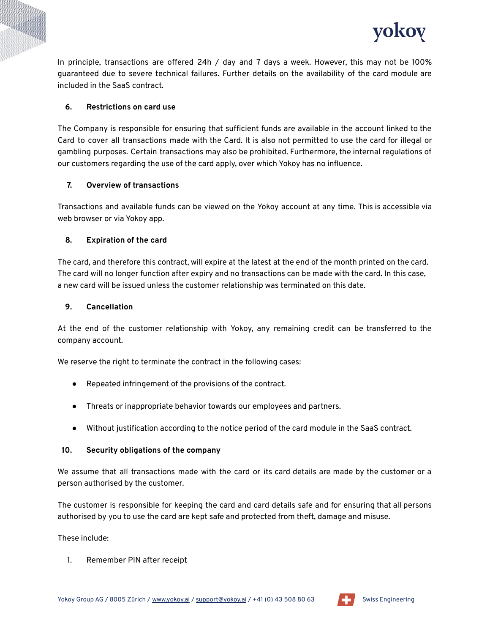

In principle, transactions are offered 24h / day and 7 days a week. However, this may not be 100% guaranteed due to severe technical failures. Further details on the availability of the card module are included in the SaaS contract.

#### **6. Restrictions on card use**

The Company is responsible for ensuring that sufficient funds are available in the account linked to the Card to cover all transactions made with the Card. It is also not permitted to use the card for illegal or gambling purposes. Certain transactions may also be prohibited. Furthermore, the internal regulations of our customers regarding the use of the card apply, over which Yokoy has no influence.

#### **7. Overview of transactions**

Transactions and available funds can be viewed on the Yokoy account at any time. This is accessible via web browser or via Yokoy app.

#### **8. Expiration of the card**

The card, and therefore this contract, will expire at the latest at the end of the month printed on the card. The card will no longer function after expiry and no transactions can be made with the card. In this case, a new card will be issued unless the customer relationship was terminated on this date.

#### **9. Cancellation**

At the end of the customer relationship with Yokoy, any remaining credit can be transferred to the company account.

We reserve the right to terminate the contract in the following cases:

- Repeated infringement of the provisions of the contract.
- Threats or inappropriate behavior towards our employees and partners.
- Without justification according to the notice period of the card module in the SaaS contract.

#### **10. Security obligations of the company**

We assume that all transactions made with the card or its card details are made by the customer or a person authorised by the customer.

The customer is responsible for keeping the card and card details safe and for ensuring that all persons authorised by you to use the card are kept safe and protected from theft, damage and misuse.

These include:

1. Remember PIN after receipt

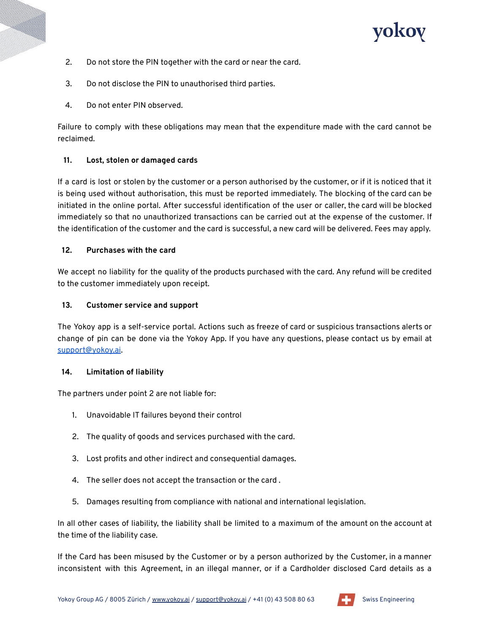# yokoy

- 2. Do not store the PIN together with the card or near the card.
- 3. Do not disclose the PIN to unauthorised third parties.
- 4. Do not enter PIN observed.

Failure to comply with these obligations may mean that the expenditure made with the card cannot be reclaimed.

#### **11. Lost, stolen or damaged cards**

If a card is lost or stolen by the customer or a person authorised by the customer, or if it is noticed that it is being used without authorisation, this must be reported immediately. The blocking of the card can be initiated in the online portal. After successful identification of the user or caller, the card will be blocked immediately so that no unauthorized transactions can be carried out at the expense of the customer. If the identification of the customer and the card is successful, a new card will be delivered. Fees may apply.

#### **12. Purchases with the card**

We accept no liability for the quality of the products purchased with the card. Any refund will be credited to the customer immediately upon receipt.

#### **13. Customer service and support**

The Yokoy app is a self-service portal. Actions such as freeze of card or suspicious transactions alerts or change of pin can be done via the Yokoy App. If you have any questions, please contact us by email at [support@yokoy.ai](mailto:support@yokoy.ai).

#### **14. Limitation of liability**

The partners under point 2 are not liable for:

- 1. Unavoidable IT failures beyond their control
- 2. The quality of goods and services purchased with the card.
- 3. Lost profits and other indirect and consequential damages.
- 4. The seller does not accept the transaction or the card .
- 5. Damages resulting from compliance with national and international legislation.

In all other cases of liability, the liability shall be limited to a maximum of the amount on the account at the time of the liability case.

If the Card has been misused by the Customer or by a person authorized by the Customer, in a manner inconsistent with this Agreement, in an illegal manner, or if a Cardholder disclosed Card details as a

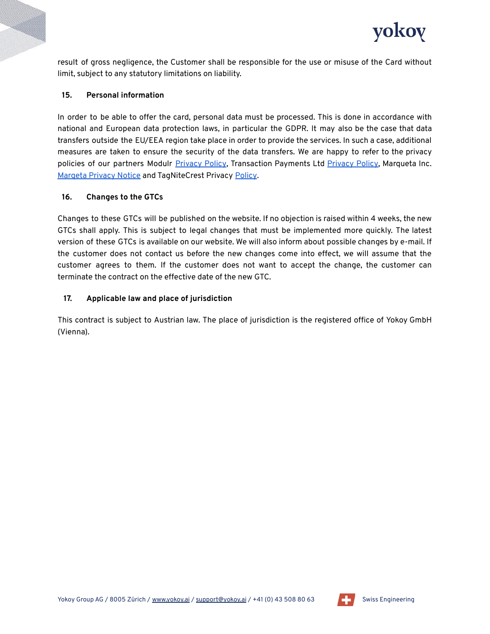

result of gross negligence, the Customer shall be responsible for the use or misuse of the Card without limit, subject to any statutory limitations on liability.

#### **15. Personal information**

In order to be able to offer the card, personal data must be processed. This is done in accordance with national and European data protection laws, in particular the GDPR. It may also be the case that data transfers outside the EU/EEA region take place in order to provide the services. In such a case, additional measures are taken to ensure the security of the data transfers. We are happy to refer to the privacy policies of our partners Modulr [Privacy](https://www.transactpaymentsltd.com/privacy-policy/) [Policy](https://www.modulrfinance.com/privacy-policy), Transaction Payments Ltd Privacy [Policy,](https://www.yokoy.ai/en/tpml-privacy-policy) Marqueta Inc. [Marqeta](https://www.marqeta.com/privacy) [Privacy](https://www.marqeta.com/privacy) [Notice](https://www.marqeta.com/privacy) and TagNiteCrest Privacy [Policy](https://www.nitecrest.com/privacy-policy/).

#### **16. Changes to the GTCs**

Changes to these GTCs will be published on the website. If no objection is raised within 4 weeks, the new GTCs shall apply. This is subject to legal changes that must be implemented more quickly. The latest version of these GTCs is available on our website. We will also inform about possible changes by e-mail. If the customer does not contact us before the new changes come into effect, we will assume that the customer agrees to them. If the customer does not want to accept the change, the customer can terminate the contract on the effective date of the new GTC.

#### **17. Applicable law and place of jurisdiction**

This contract is subject to Austrian law. The place of jurisdiction is the registered office of Yokoy GmbH (Vienna).

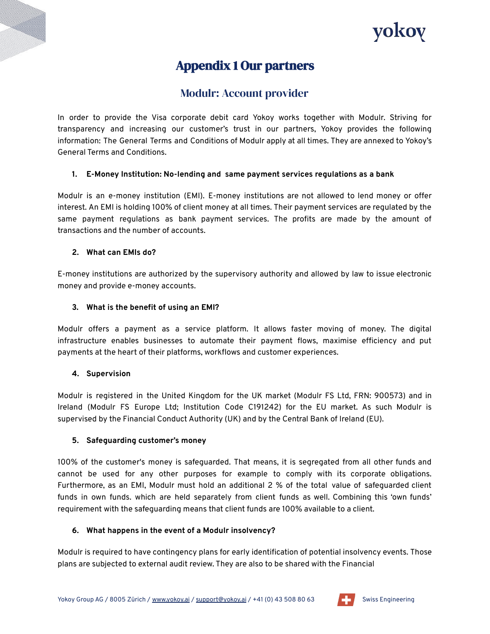# Appendix 1 Our partners

## Modulr: Account provider

In order to provide the Visa corporate debit card Yokoy works together with Modulr. Striving for transparency and increasing our customer's trust in our partners, Yokoy provides the following information: The General Terms and Conditions of Modulr apply at all times. They are annexed to Yokoy's General Terms and Conditions.

## **1. E-Money Institution: No-lending and same payment services regulations as a bank**

Modulr is an e-money institution (EMI). E-money institutions are not allowed to lend money or offer interest. An EMI is holding 100% of client money at all times. Their payment services are regulated by the same payment regulations as bank payment services. The profits are made by the amount of transactions and the number of accounts.

#### **2. What can EMIs do?**

E-money institutions are authorized by the supervisory authority and allowed by law to issue electronic money and provide e-money accounts.

#### **3. What is the benefit of using an EMI?**

Modulr offers a payment as a service platform. It allows faster moving of money. The digital infrastructure enables businesses to automate their payment flows, maximise efficiency and put payments at the heart of their platforms, workflows and customer experiences.

#### **4. Supervision**

Modulr is registered in the United Kingdom for the UK market (Modulr FS Ltd, FRN: 900573) and in Ireland (Modulr FS Europe Ltd; Institution Code C191242) for the EU market. As such Modulr is supervised by the Financial Conduct Authority (UK) and by the Central Bank of Ireland (EU).

#### **5. Safeguarding customer's money**

100% of the customer's money is safeguarded. That means, it is segregated from all other funds and cannot be used for any other purposes for example to comply with its corporate obligations. Furthermore, as an EMI, Modulr must hold an additional 2 % of the total value of safeguarded client funds in own funds. which are held separately from client funds as well. Combining this 'own funds' requirement with the safeguarding means that client funds are 100% available to a client.

#### **6. What happens in the event of a Modulr insolvency?**

Modulr is required to have contingency plans for early identification of potential insolvency events. Those plans are subjected to external audit review. They are also to be shared with the Financial

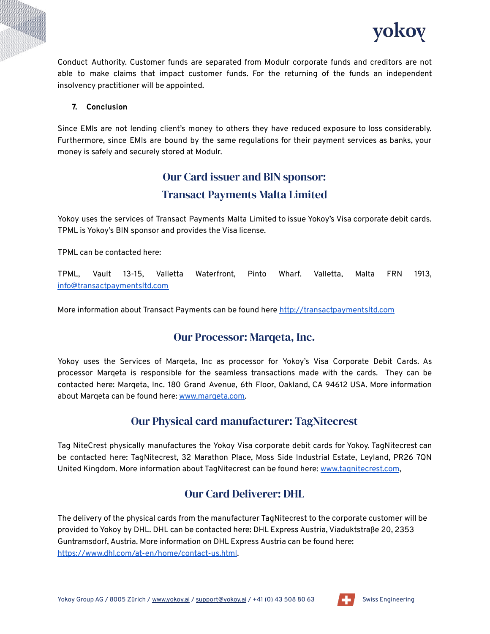

Conduct Authority. Customer funds are separated from Modulr corporate funds and creditors are not able to make claims that impact customer funds. For the returning of the funds an independent insolvency practitioner will be appointed.

#### **7. Conclusion**

Since EMIs are not lending client's money to others they have reduced exposure to loss considerably. Furthermore, since EMIs are bound by the same regulations for their payment services as banks, your money is safely and securely stored at Modulr.

# Our Card issuer and BIN sponsor: Transact Payments Malta Limited

Yokoy uses the services of Transact Payments Malta Limited to issue Yokoy's Visa corporate debit cards. TPML is Yokoy's BIN sponsor and provides the Visa license.

TPML can be contacted here:

TPML, Vault 13-15, Valletta Waterfront, Pinto Wharf. Valletta, Malta FRN 1913, [info@transactpaymentsltd.com](mailto:info@transactpaymentsltd.com)

More information about Transact Payments can be found here <http://transactpaymentsltd.com>

## Our Processor: Marqeta, Inc.

Yokoy uses the Services of Marqeta, Inc as processor for Yokoy's Visa Corporate Debit Cards. As processor Marqeta is responsible for the seamless transactions made with the cards. They can be contacted here: Marqeta, Inc. 180 Grand Avenue, 6th Floor, Oakland, CA 94612 USA. More information about Marqeta can be found here: [www.marqeta.com.](http://www.marqeta.com/)

## Our Physical card manufacturer: TagNitecrest

Tag NiteCrest physically manufactures the Yokoy Visa corporate debit cards for Yokoy. TagNitecrest can be contacted here: TagNitecrest, 32 Marathon Place, Moss Side Industrial Estate, Leyland, PR26 7QN United Kingdom. More information about TagNitecrest can be found here: [www.tagnitecrest.com](http://www.tagnitecrest.com/),

## Our Card Deliverer: DHL

The delivery of the physical cards from the manufacturer TagNitecrest to the corporate customer will be provided to Yokoy by DHL. DHL can be contacted here: DHL Express Austria, Viaduktstraße 20, 2353 Guntramsdorf, Austria. More information on DHL Express Austria can be found here: <https://www.dhl.com/at-en/home/contact-us.html>.

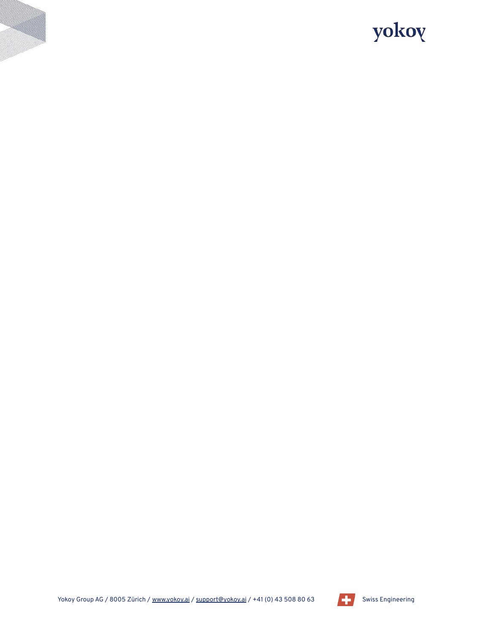

# yokoy

Yokoy Group AG / 8005 Zürich / [www.yokoy.ai](https://www.yokoy.ai) / [support@yokoy.ai](mailto:support@yokoy.ai) / +41 (0) 43 508 80 63

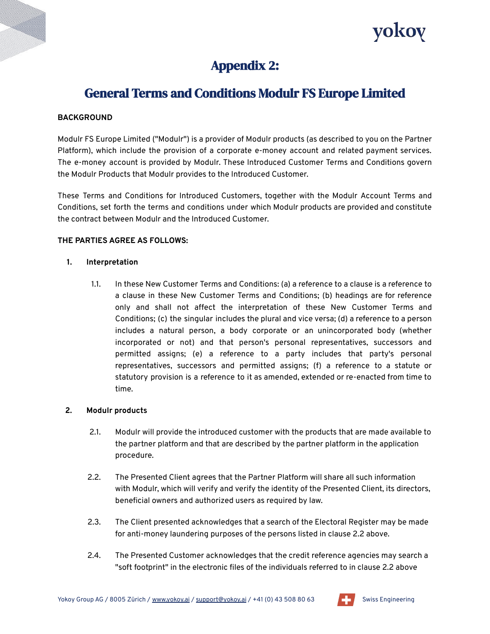

# Appendix 2:

# General Terms and Conditions Modulr FS Europe Limited

#### **BACKGROUND**

Modulr FS Europe Limited ("Modulr") is a provider of Modulr products (as described to you on the Partner Platform), which include the provision of a corporate e-money account and related payment services. The e-money account is provided by Modulr. These Introduced Customer Terms and Conditions govern the Modulr Products that Modulr provides to the Introduced Customer.

These Terms and Conditions for Introduced Customers, together with the Modulr Account Terms and Conditions, set forth the terms and conditions under which Modulr products are provided and constitute the contract between Modulr and the Introduced Customer.

#### **THE PARTIES AGREE AS FOLLOWS:**

#### **1. Interpretation**

1.1. In these New Customer Terms and Conditions: (a) a reference to a clause is a reference to a clause in these New Customer Terms and Conditions; (b) headings are for reference only and shall not affect the interpretation of these New Customer Terms and Conditions; (c) the singular includes the plural and vice versa; (d) a reference to a person includes a natural person, a body corporate or an unincorporated body (whether incorporated or not) and that person's personal representatives, successors and permitted assigns; (e) a reference to a party includes that party's personal representatives, successors and permitted assigns; (f) a reference to a statute or statutory provision is a reference to it as amended, extended or re-enacted from time to time.

#### **2. Modulr products**

- 2.1. Modulr will provide the introduced customer with the products that are made available to the partner platform and that are described by the partner platform in the application procedure.
- 2.2. The Presented Client agrees that the Partner Platform will share all such information with Modulr, which will verify and verify the identity of the Presented Client, its directors, beneficial owners and authorized users as required by law.
- 2.3. The Client presented acknowledges that a search of the Electoral Register may be made for anti-money laundering purposes of the persons listed in clause 2.2 above.
- 2.4. The Presented Customer acknowledges that the credit reference agencies may search a "soft footprint" in the electronic files of the individuals referred to in clause 2.2 above

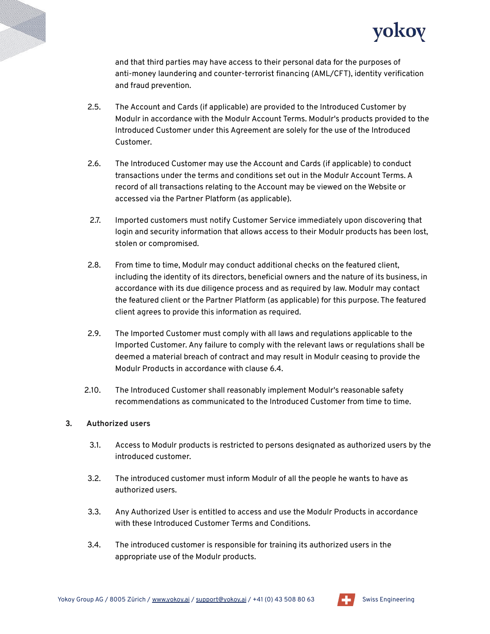

and that third parties may have access to their personal data for the purposes of anti-money laundering and counter-terrorist financing (AML/CFT), identity verification and fraud prevention.

- 2.5. The Account and Cards (if applicable) are provided to the Introduced Customer by Modulr in accordance with the Modulr Account Terms. Modulr's products provided to the Introduced Customer under this Agreement are solely for the use of the Introduced Customer.
- 2.6. The Introduced Customer may use the Account and Cards (if applicable) to conduct transactions under the terms and conditions set out in the Modulr Account Terms. A record of all transactions relating to the Account may be viewed on the Website or accessed via the Partner Platform (as applicable).
- 2.7. Imported customers must notify Customer Service immediately upon discovering that login and security information that allows access to their Modulr products has been lost, stolen or compromised.
- 2.8. From time to time, Modulr may conduct additional checks on the featured client, including the identity of its directors, beneficial owners and the nature of its business, in accordance with its due diligence process and as required by law. Modulr may contact the featured client or the Partner Platform (as applicable) for this purpose. The featured client agrees to provide this information as required.
- 2.9. The Imported Customer must comply with all laws and regulations applicable to the Imported Customer. Any failure to comply with the relevant laws or regulations shall be deemed a material breach of contract and may result in Modulr ceasing to provide the Modulr Products in accordance with clause 6.4.
- 2.10. The Introduced Customer shall reasonably implement Modulr's reasonable safety recommendations as communicated to the Introduced Customer from time to time.

#### **3. Authorized users**

- 3.1. Access to Modulr products is restricted to persons designated as authorized users by the introduced customer.
- 3.2. The introduced customer must inform Modulr of all the people he wants to have as authorized users.
- 3.3. Any Authorized User is entitled to access and use the Modulr Products in accordance with these Introduced Customer Terms and Conditions.
- 3.4. The introduced customer is responsible for training its authorized users in the appropriate use of the Modulr products.

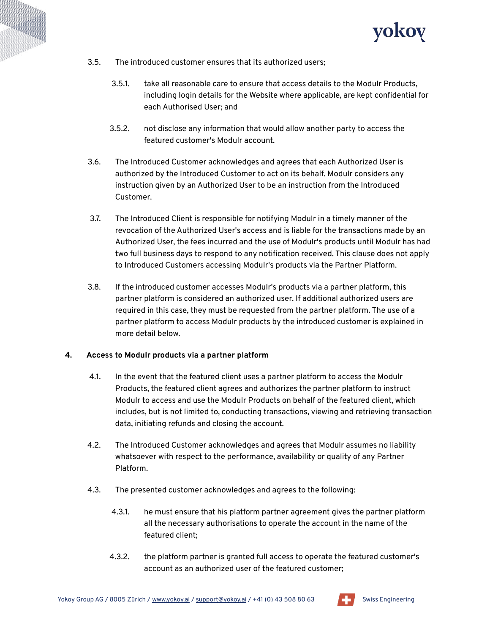- 3.5. The introduced customer ensures that its authorized users;
	- 3.5.1. take all reasonable care to ensure that access details to the Modulr Products, including login details for the Website where applicable, are kept confidential for each Authorised User; and
	- 3.5.2. not disclose any information that would allow another party to access the featured customer's Modulr account.
- 3.6. The Introduced Customer acknowledges and agrees that each Authorized User is authorized by the Introduced Customer to act on its behalf. Modulr considers any instruction given by an Authorized User to be an instruction from the Introduced Customer.
- 3.7. The Introduced Client is responsible for notifying Modulr in a timely manner of the revocation of the Authorized User's access and is liable for the transactions made by an Authorized User, the fees incurred and the use of Modulr's products until Modulr has had two full business days to respond to any notification received. This clause does not apply to Introduced Customers accessing Modulr's products via the Partner Platform.
- 3.8. If the introduced customer accesses Modulr's products via a partner platform, this partner platform is considered an authorized user. If additional authorized users are required in this case, they must be requested from the partner platform. The use of a partner platform to access Modulr products by the introduced customer is explained in more detail below.

#### **4. Access to Modulr products via a partner platform**

- 4.1. In the event that the featured client uses a partner platform to access the Modulr Products, the featured client agrees and authorizes the partner platform to instruct Modulr to access and use the Modulr Products on behalf of the featured client, which includes, but is not limited to, conducting transactions, viewing and retrieving transaction data, initiating refunds and closing the account.
- 4.2. The Introduced Customer acknowledges and agrees that Modulr assumes no liability whatsoever with respect to the performance, availability or quality of any Partner Platform.
- 4.3. The presented customer acknowledges and agrees to the following:
	- 4.3.1. he must ensure that his platform partner agreement gives the partner platform all the necessary authorisations to operate the account in the name of the featured client;
	- 4.3.2. the platform partner is granted full access to operate the featured customer's account as an authorized user of the featured customer;

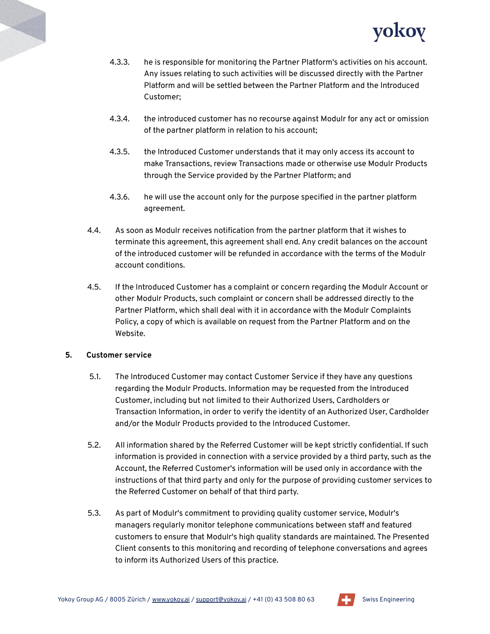

- 4.3.3. he is responsible for monitoring the Partner Platform's activities on his account. Any issues relating to such activities will be discussed directly with the Partner Platform and will be settled between the Partner Platform and the Introduced Customer;
- 4.3.4. the introduced customer has no recourse against Modulr for any act or omission of the partner platform in relation to his account;
- 4.3.5. the Introduced Customer understands that it may only access its account to make Transactions, review Transactions made or otherwise use Modulr Products through the Service provided by the Partner Platform; and
- 4.3.6. he will use the account only for the purpose specified in the partner platform agreement.
- 4.4. As soon as Modulr receives notification from the partner platform that it wishes to terminate this agreement, this agreement shall end. Any credit balances on the account of the introduced customer will be refunded in accordance with the terms of the Modulr account conditions.
- 4.5. If the Introduced Customer has a complaint or concern regarding the Modulr Account or other Modulr Products, such complaint or concern shall be addressed directly to the Partner Platform, which shall deal with it in accordance with the Modulr Complaints Policy, a copy of which is available on request from the Partner Platform and on the Website.

#### **5. Customer service**

- 5.1. The Introduced Customer may contact Customer Service if they have any questions regarding the Modulr Products. Information may be requested from the Introduced Customer, including but not limited to their Authorized Users, Cardholders or Transaction Information, in order to verify the identity of an Authorized User, Cardholder and/or the Modulr Products provided to the Introduced Customer.
- 5.2. All information shared by the Referred Customer will be kept strictly confidential. If such information is provided in connection with a service provided by a third party, such as the Account, the Referred Customer's information will be used only in accordance with the instructions of that third party and only for the purpose of providing customer services to the Referred Customer on behalf of that third party.
- 5.3. As part of Modulr's commitment to providing quality customer service, Modulr's managers regularly monitor telephone communications between staff and featured customers to ensure that Modulr's high quality standards are maintained. The Presented Client consents to this monitoring and recording of telephone conversations and agrees to inform its Authorized Users of this practice.

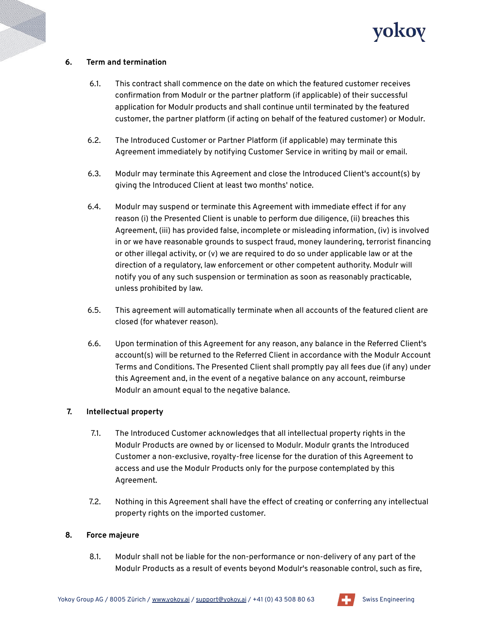#### **6. Term and termination**

- 6.1. This contract shall commence on the date on which the featured customer receives confirmation from Modulr or the partner platform (if applicable) of their successful application for Modulr products and shall continue until terminated by the featured customer, the partner platform (if acting on behalf of the featured customer) or Modulr.
- 6.2. The Introduced Customer or Partner Platform (if applicable) may terminate this Agreement immediately by notifying Customer Service in writing by mail or email.
- 6.3. Modulr may terminate this Agreement and close the Introduced Client's account(s) by giving the Introduced Client at least two months' notice.
- 6.4. Modulr may suspend or terminate this Agreement with immediate effect if for any reason (i) the Presented Client is unable to perform due diligence, (ii) breaches this Agreement, (iii) has provided false, incomplete or misleading information, (iv) is involved in or we have reasonable grounds to suspect fraud, money laundering, terrorist financing or other illegal activity, or (v) we are required to do so under applicable law or at the direction of a regulatory, law enforcement or other competent authority. Modulr will notify you of any such suspension or termination as soon as reasonably practicable, unless prohibited by law.
- 6.5. This agreement will automatically terminate when all accounts of the featured client are closed (for whatever reason).
- 6.6. Upon termination of this Agreement for any reason, any balance in the Referred Client's account(s) will be returned to the Referred Client in accordance with the Modulr Account Terms and Conditions. The Presented Client shall promptly pay all fees due (if any) under this Agreement and, in the event of a negative balance on any account, reimburse Modulr an amount equal to the negative balance.

#### **7. Intellectual property**

- 7.1. The Introduced Customer acknowledges that all intellectual property rights in the Modulr Products are owned by or licensed to Modulr. Modulr grants the Introduced Customer a non-exclusive, royalty-free license for the duration of this Agreement to access and use the Modulr Products only for the purpose contemplated by this Agreement.
- 7.2. Nothing in this Agreement shall have the effect of creating or conferring any intellectual property rights on the imported customer.

#### **8. Force majeure**

8.1. Modulr shall not be liable for the non-performance or non-delivery of any part of the Modulr Products as a result of events beyond Modulr's reasonable control, such as fire,

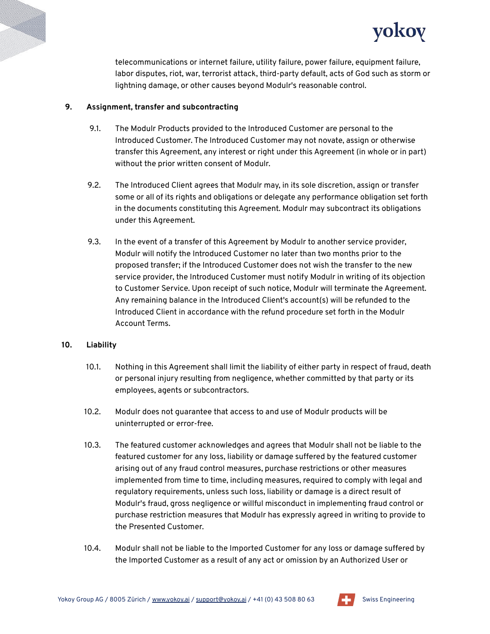

telecommunications or internet failure, utility failure, power failure, equipment failure, labor disputes, riot, war, terrorist attack, third-party default, acts of God such as storm or lightning damage, or other causes beyond Modulr's reasonable control.

#### **9. Assignment, transfer and subcontracting**

- 9.1. The Modulr Products provided to the Introduced Customer are personal to the Introduced Customer. The Introduced Customer may not novate, assign or otherwise transfer this Agreement, any interest or right under this Agreement (in whole or in part) without the prior written consent of Modulr.
- 9.2. The Introduced Client agrees that Modulr may, in its sole discretion, assign or transfer some or all of its rights and obligations or delegate any performance obligation set forth in the documents constituting this Agreement. Modulr may subcontract its obligations under this Agreement.
- 9.3. In the event of a transfer of this Agreement by Modulr to another service provider, Modulr will notify the Introduced Customer no later than two months prior to the proposed transfer; if the Introduced Customer does not wish the transfer to the new service provider, the Introduced Customer must notify Modulr in writing of its objection to Customer Service. Upon receipt of such notice, Modulr will terminate the Agreement. Any remaining balance in the Introduced Client's account(s) will be refunded to the Introduced Client in accordance with the refund procedure set forth in the Modulr Account Terms.

#### **10. Liability**

- 10.1. Nothing in this Agreement shall limit the liability of either party in respect of fraud, death or personal injury resulting from negligence, whether committed by that party or its employees, agents or subcontractors.
- 10.2. Modulr does not guarantee that access to and use of Modulr products will be uninterrupted or error-free.
- 10.3. The featured customer acknowledges and agrees that Modulr shall not be liable to the featured customer for any loss, liability or damage suffered by the featured customer arising out of any fraud control measures, purchase restrictions or other measures implemented from time to time, including measures, required to comply with legal and regulatory requirements, unless such loss, liability or damage is a direct result of Modulr's fraud, gross negligence or willful misconduct in implementing fraud control or purchase restriction measures that Modulr has expressly agreed in writing to provide to the Presented Customer.
- 10.4. Modulr shall not be liable to the Imported Customer for any loss or damage suffered by the Imported Customer as a result of any act or omission by an Authorized User or

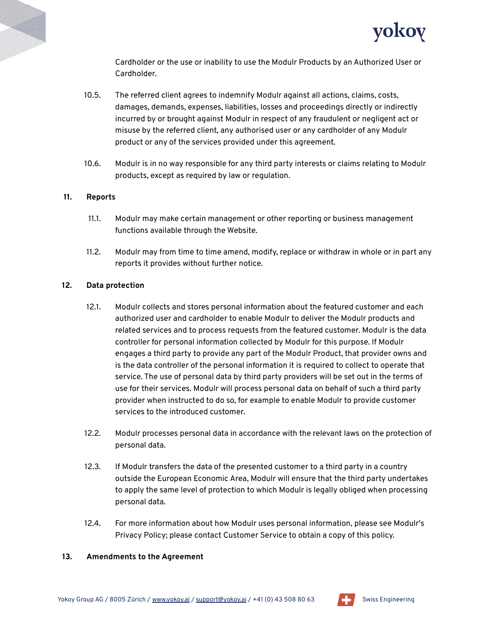

Cardholder or the use or inability to use the Modulr Products by an Authorized User or Cardholder.

- 10.5. The referred client agrees to indemnify Modulr against all actions, claims, costs, damages, demands, expenses, liabilities, losses and proceedings directly or indirectly incurred by or brought against Modulr in respect of any fraudulent or negligent act or misuse by the referred client, any authorised user or any cardholder of any Modulr product or any of the services provided under this agreement.
- 10.6. Modulr is in no way responsible for any third party interests or claims relating to Modulr products, except as required by law or regulation.

#### **11. Reports**

- 11.1. Modulr may make certain management or other reporting or business management functions available through the Website.
- 11.2. Modulr may from time to time amend, modify, replace or withdraw in whole or in part any reports it provides without further notice.

#### **12. Data protection**

- 12.1. Modulr collects and stores personal information about the featured customer and each authorized user and cardholder to enable Modulr to deliver the Modulr products and related services and to process requests from the featured customer. Modulr is the data controller for personal information collected by Modulr for this purpose. If Modulr engages a third party to provide any part of the Modulr Product, that provider owns and is the data controller of the personal information it is required to collect to operate that service. The use of personal data by third party providers will be set out in the terms of use for their services. Modulr will process personal data on behalf of such a third party provider when instructed to do so, for example to enable Modulr to provide customer services to the introduced customer.
- 12.2. Modulr processes personal data in accordance with the relevant laws on the protection of personal data.
- 12.3. If Modulr transfers the data of the presented customer to a third party in a country outside the European Economic Area, Modulr will ensure that the third party undertakes to apply the same level of protection to which Modulr is legally obliged when processing personal data.
- 12.4. For more information about how Modulr uses personal information, please see Modulr's Privacy Policy; please contact Customer Service to obtain a copy of this policy.

#### **13. Amendments to the Agreement**

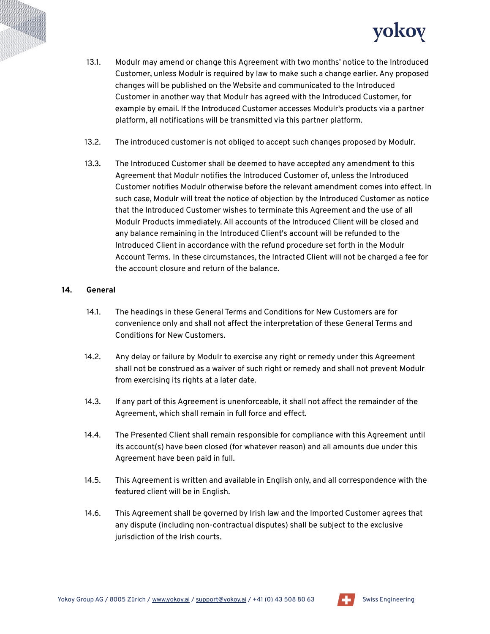# yokoy

- 13.1. Modulr may amend or change this Agreement with two months' notice to the Introduced Customer, unless Modulr is required by law to make such a change earlier. Any proposed changes will be published on the Website and communicated to the Introduced Customer in another way that Modulr has agreed with the Introduced Customer, for example by email. If the Introduced Customer accesses Modulr's products via a partner platform, all notifications will be transmitted via this partner platform.
- 13.2. The introduced customer is not obliged to accept such changes proposed by Modulr.
- 13.3. The Introduced Customer shall be deemed to have accepted any amendment to this Agreement that Modulr notifies the Introduced Customer of, unless the Introduced Customer notifies Modulr otherwise before the relevant amendment comes into effect. In such case, Modulr will treat the notice of objection by the Introduced Customer as notice that the Introduced Customer wishes to terminate this Agreement and the use of all Modulr Products immediately. All accounts of the Introduced Client will be closed and any balance remaining in the Introduced Client's account will be refunded to the Introduced Client in accordance with the refund procedure set forth in the Modulr Account Terms. In these circumstances, the Intracted Client will not be charged a fee for the account closure and return of the balance.

#### **14. General**

- 14.1. The headings in these General Terms and Conditions for New Customers are for convenience only and shall not affect the interpretation of these General Terms and Conditions for New Customers.
- 14.2. Any delay or failure by Modulr to exercise any right or remedy under this Agreement shall not be construed as a waiver of such right or remedy and shall not prevent Modulr from exercising its rights at a later date.
- 14.3. If any part of this Agreement is unenforceable, it shall not affect the remainder of the Agreement, which shall remain in full force and effect.
- 14.4. The Presented Client shall remain responsible for compliance with this Agreement until its account(s) have been closed (for whatever reason) and all amounts due under this Agreement have been paid in full.
- 14.5. This Agreement is written and available in English only, and all correspondence with the featured client will be in English.
- 14.6. This Agreement shall be governed by Irish law and the Imported Customer agrees that any dispute (including non-contractual disputes) shall be subject to the exclusive jurisdiction of the Irish courts.

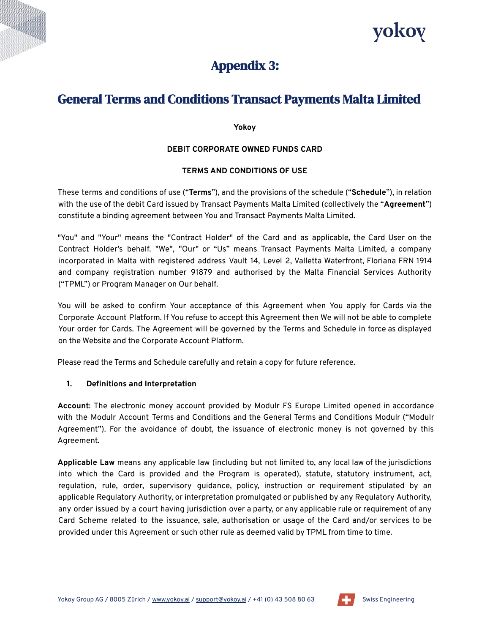

# Appendix 3:

# General Terms and Conditions Transact Payments Malta Limited

**Yokoy**

#### **DEBIT CORPORATE OWNED FUNDS CARD**

#### **TERMS AND CONDITIONS OF USE**

These terms and conditions of use ("**Terms**"), and the provisions of the schedule ("**Schedule**"), in relation with the use of the debit Card issued by Transact Payments Malta Limited (collectively the "**Agreement**") constitute a binding agreement between You and Transact Payments Malta Limited.

"You" and "Your" means the "Contract Holder" of the Card and as applicable, the Card User on the Contract Holder's behalf. "We", "Our" or "Us" means Transact Payments Malta Limited, a company incorporated in Malta with registered address Vault 14, Level 2, Valletta Waterfront, Floriana FRN 1914 and company registration number 91879 and authorised by the Malta Financial Services Authority ("TPML") or Program Manager on Our behalf.

You will be asked to confirm Your acceptance of this Agreement when You apply for Cards via the Corporate Account Platform. If You refuse to accept this Agreement then We will not be able to complete Your order for Cards. The Agreement will be governed by the Terms and Schedule in force as displayed on the Website and the Corporate Account Platform.

Please read the Terms and Schedule carefully and retain a copy for future reference.

#### **1. Definitions and Interpretation**

**Account**: The electronic money account provided by Modulr FS Europe Limited opened in accordance with the Modulr Account Terms and Conditions and the General Terms and Conditions Modulr ("Modulr Agreement"). For the avoidance of doubt, the issuance of electronic money is not governed by this Agreement.

**Applicable Law** means any applicable law (including but not limited to, any local law of the jurisdictions into which the Card is provided and the Program is operated), statute, statutory instrument, act, regulation, rule, order, supervisory guidance, policy, instruction or requirement stipulated by an applicable Regulatory Authority, or interpretation promulgated or published by any Regulatory Authority, any order issued by a court having jurisdiction over a party, or any applicable rule or requirement of any Card Scheme related to the issuance, sale, authorisation or usage of the Card and/or services to be provided under this Agreement or such other rule as deemed valid by TPML from time to time.

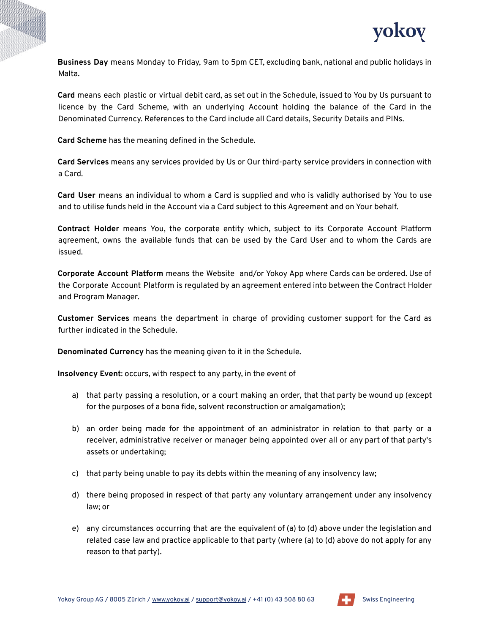**Business Day** means Monday to Friday, 9am to 5pm CET, excluding bank, national and public holidays in Malta.

**Card** means each plastic or virtual debit card, as set out in the Schedule, issued to You by Us pursuant to licence by the Card Scheme, with an underlying Account holding the balance of the Card in the Denominated Currency. References to the Card include all Card details, Security Details and PINs.

**Card Scheme** has the meaning defined in the Schedule.

**Card Services** means any services provided by Us or Our third-party service providers in connection with a Card.

**Card User** means an individual to whom a Card is supplied and who is validly authorised by You to use and to utilise funds held in the Account via a Card subject to this Agreement and on Your behalf.

**Contract Holder** means You, the corporate entity which, subject to its Corporate Account Platform agreement, owns the available funds that can be used by the Card User and to whom the Cards are issued.

**Corporate Account Platform** means the Website and/or Yokoy App where Cards can be ordered. Use of the Corporate Account Platform is regulated by an agreement entered into between the Contract Holder and Program Manager.

**Customer Services** means the department in charge of providing customer support for the Card as further indicated in the Schedule.

**Denominated Currency** has the meaning given to it in the Schedule.

**Insolvency Event**: occurs, with respect to any party, in the event of

- a) that party passing a resolution, or a court making an order, that that party be wound up (except for the purposes of a bona fide, solvent reconstruction or amalgamation);
- b) an order being made for the appointment of an administrator in relation to that party or a receiver, administrative receiver or manager being appointed over all or any part of that party's assets or undertaking;
- c) that party being unable to pay its debts within the meaning of any insolvency law;
- d) there being proposed in respect of that party any voluntary arrangement under any insolvency law; or
- e) any circumstances occurring that are the equivalent of (a) to (d) above under the legislation and related case law and practice applicable to that party (where (a) to (d) above do not apply for any reason to that party).

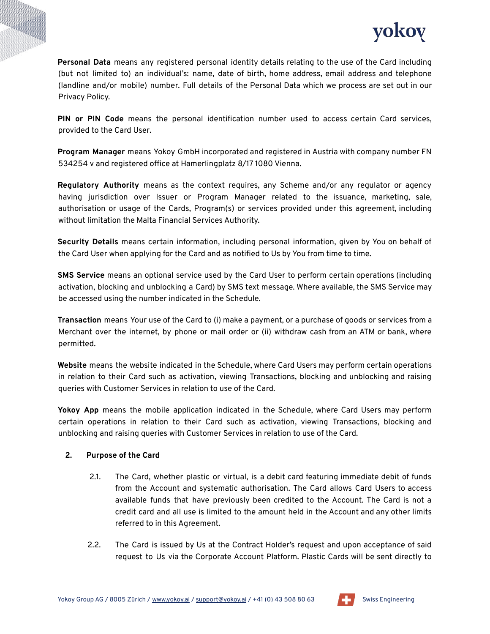

**Personal Data** means any registered personal identity details relating to the use of the Card including (but not limited to) an individual's: name, date of birth, home address, email address and telephone (landline and/or mobile) number. Full details of the Personal Data which we process are set out in our Privacy Policy.

**PIN or PIN Code** means the personal identification number used to access certain Card services, provided to the Card User.

**Program Manager** means Yokoy GmbH incorporated and registered in Austria with company number FN 534254 v and registered office at Hamerlingplatz 8/17 1080 Vienna.

**Regulatory Authority** means as the context requires, any Scheme and/or any regulator or agency having jurisdiction over Issuer or Program Manager related to the issuance, marketing, sale, authorisation or usage of the Cards, Program(s) or services provided under this agreement, including without limitation the Malta Financial Services Authority.

**Security Details** means certain information, including personal information, given by You on behalf of the Card User when applying for the Card and as notified to Us by You from time to time.

**SMS Service** means an optional service used by the Card User to perform certain operations (including activation, blocking and unblocking a Card) by SMS text message. Where available, the SMS Service may be accessed using the number indicated in the Schedule.

**Transaction** means Your use of the Card to (i) make a payment, or a purchase of goods or services from a Merchant over the internet, by phone or mail order or (ii) withdraw cash from an ATM or bank, where permitted.

**Website** means the website indicated in the Schedule, where Card Users may perform certain operations in relation to their Card such as activation, viewing Transactions, blocking and unblocking and raising queries with Customer Services in relation to use of the Card.

**Yokoy App** means the mobile application indicated in the Schedule, where Card Users may perform certain operations in relation to their Card such as activation, viewing Transactions, blocking and unblocking and raising queries with Customer Services in relation to use of the Card.

#### **2. Purpose of the Card**

- 2.1. The Card, whether plastic or virtual, is a debit card featuring immediate debit of funds from the Account and systematic authorisation. The Card allows Card Users to access available funds that have previously been credited to the Account. The Card is not a credit card and all use is limited to the amount held in the Account and any other limits referred to in this Agreement.
- 2.2. The Card is issued by Us at the Contract Holder's request and upon acceptance of said request to Us via the Corporate Account Platform. Plastic Cards will be sent directly to

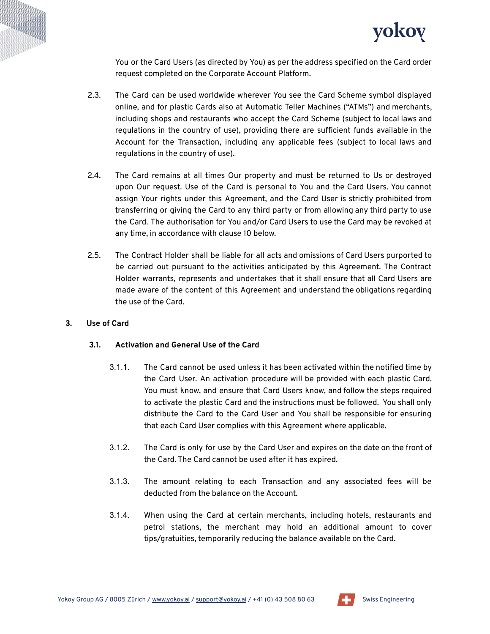

You or the Card Users (as directed by You) as per the address specified on the Card order request completed on the Corporate Account Platform.

- 2.3. The Card can be used worldwide wherever You see the Card Scheme symbol displayed online, and for plastic Cards also at Automatic Teller Machines ("ATMs") and merchants, including shops and restaurants who accept the Card Scheme (subject to local laws and regulations in the country of use), providing there are sufficient funds available in the Account for the Transaction, including any applicable fees (subject to local laws and regulations in the country of use).
- 2.4. The Card remains at all times Our property and must be returned to Us or destroyed upon Our request. Use of the Card is personal to You and the Card Users. You cannot assign Your rights under this Agreement, and the Card User is strictly prohibited from transferring or giving the Card to any third party or from allowing any third party to use the Card. The authorisation for You and/or Card Users to use the Card may be revoked at any time, in accordance with clause 10 below.
- 2.5. The Contract Holder shall be liable for all acts and omissions of Card Users purported to be carried out pursuant to the activities anticipated by this Agreement. The Contract Holder warrants, represents and undertakes that it shall ensure that all Card Users are made aware of the content of this Agreement and understand the obligations regarding the use of the Card.

#### **3. Use of Card**

#### **3.1. Activation and General Use of the Card**

- 3.1.1. The Card cannot be used unless it has been activated within the notified time by the Card User. An activation procedure will be provided with each plastic Card. You must know, and ensure that Card Users know, and follow the steps required to activate the plastic Card and the instructions must be followed. You shall only distribute the Card to the Card User and You shall be responsible for ensuring that each Card User complies with this Agreement where applicable.
- 3.1.2. The Card is only for use by the Card User and expires on the date on the front of the Card. The Card cannot be used after it has expired.
- 3.1.3. The amount relating to each Transaction and any associated fees will be deducted from the balance on the Account.
- 3.1.4. When using the Card at certain merchants, including hotels, restaurants and petrol stations, the merchant may hold an additional amount to cover tips/gratuities, temporarily reducing the balance available on the Card.

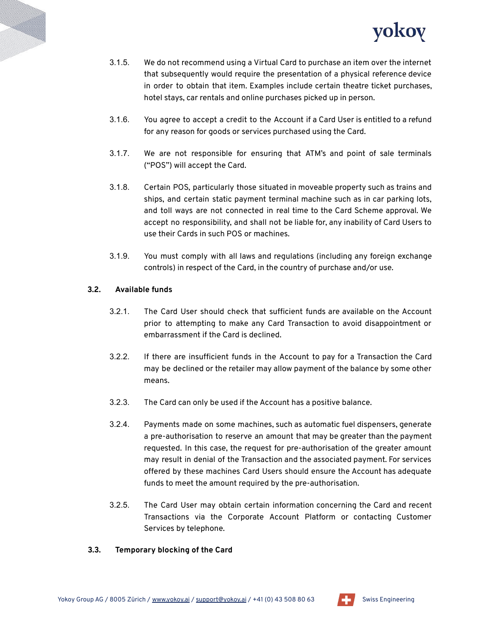

- 3.1.5. We do not recommend using a Virtual Card to purchase an item over the internet that subsequently would require the presentation of a physical reference device in order to obtain that item. Examples include certain theatre ticket purchases, hotel stays, car rentals and online purchases picked up in person.
- 3.1.6. You agree to accept a credit to the Account if a Card User is entitled to a refund for any reason for goods or services purchased using the Card.
- 3.1.7. We are not responsible for ensuring that ATM's and point of sale terminals ("POS") will accept the Card.
- 3.1.8. Certain POS, particularly those situated in moveable property such as trains and ships, and certain static payment terminal machine such as in car parking lots, and toll ways are not connected in real time to the Card Scheme approval. We accept no responsibility, and shall not be liable for, any inability of Card Users to use their Cards in such POS or machines.
- 3.1.9. You must comply with all laws and regulations (including any foreign exchange controls) in respect of the Card, in the country of purchase and/or use.

#### **3.2. Available funds**

- 3.2.1. The Card User should check that sufficient funds are available on the Account prior to attempting to make any Card Transaction to avoid disappointment or embarrassment if the Card is declined.
- 3.2.2. If there are insufficient funds in the Account to pay for a Transaction the Card may be declined or the retailer may allow payment of the balance by some other means.
- 3.2.3. The Card can only be used if the Account has a positive balance.
- 3.2.4. Payments made on some machines, such as automatic fuel dispensers, generate a pre-authorisation to reserve an amount that may be greater than the payment requested. In this case, the request for pre-authorisation of the greater amount may result in denial of the Transaction and the associated payment. For services offered by these machines Card Users should ensure the Account has adequate funds to meet the amount required by the pre-authorisation.
- 3.2.5. The Card User may obtain certain information concerning the Card and recent Transactions via the Corporate Account Platform or contacting Customer Services by telephone.

#### **3.3. Temporary blocking of the Card**

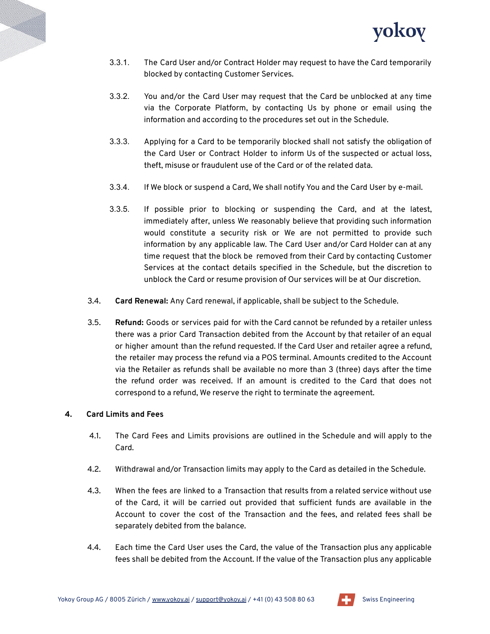- 3.3.1. The Card User and/or Contract Holder may request to have the Card temporarily blocked by contacting Customer Services.
- 3.3.2. You and/or the Card User may request that the Card be unblocked at any time via the Corporate Platform, by contacting Us by phone or email using the information and according to the procedures set out in the Schedule.
- 3.3.3. Applying for a Card to be temporarily blocked shall not satisfy the obligation of the Card User or Contract Holder to inform Us of the suspected or actual loss, theft, misuse or fraudulent use of the Card or of the related data.
- 3.3.4. If We block or suspend a Card, We shall notify You and the Card User by e-mail.
- 3.3.5. If possible prior to blocking or suspending the Card, and at the latest, immediately after, unless We reasonably believe that providing such information would constitute a security risk or We are not permitted to provide such information by any applicable law. The Card User and/or Card Holder can at any time request that the block be removed from their Card by contacting Customer Services at the contact details specified in the Schedule, but the discretion to unblock the Card or resume provision of Our services will be at Our discretion.
- 3.4. **Card Renewal:** Any Card renewal, if applicable, shall be subject to the Schedule.
- 3.5. **Refund:** Goods or services paid for with the Card cannot be refunded by a retailer unless there was a prior Card Transaction debited from the Account by that retailer of an equal or higher amount than the refund requested. If the Card User and retailer agree a refund, the retailer may process the refund via a POS terminal. Amounts credited to the Account via the Retailer as refunds shall be available no more than 3 (three) days after the time the refund order was received. If an amount is credited to the Card that does not correspond to a refund, We reserve the right to terminate the agreement.

## **4. Card Limits and Fees**

- 4.1. The Card Fees and Limits provisions are outlined in the Schedule and will apply to the Card.
- 4.2. Withdrawal and/or Transaction limits may apply to the Card as detailed in the Schedule.
- 4.3. When the fees are linked to a Transaction that results from a related service without use of the Card, it will be carried out provided that sufficient funds are available in the Account to cover the cost of the Transaction and the fees, and related fees shall be separately debited from the balance.
- 4.4. Each time the Card User uses the Card, the value of the Transaction plus any applicable fees shall be debited from the Account. If the value of the Transaction plus any applicable

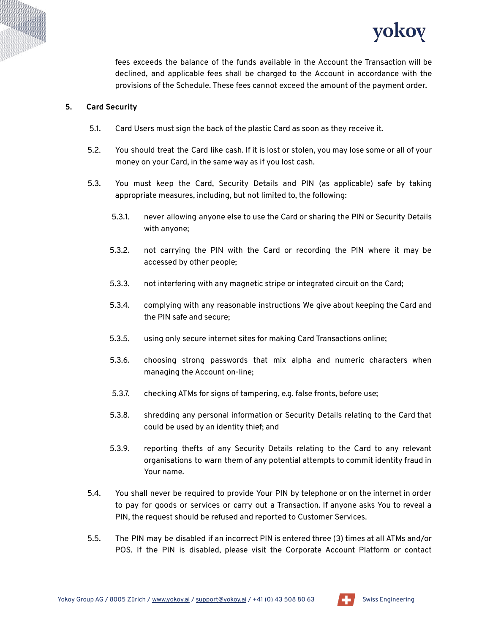

fees exceeds the balance of the funds available in the Account the Transaction will be declined, and applicable fees shall be charged to the Account in accordance with the provisions of the Schedule. These fees cannot exceed the amount of the payment order.

#### **5. Card Security**

- 5.1. Card Users must sign the back of the plastic Card as soon as they receive it.
- 5.2. You should treat the Card like cash. If it is lost or stolen, you may lose some or all of your money on your Card, in the same way as if you lost cash.
- 5.3. You must keep the Card, Security Details and PIN (as applicable) safe by taking appropriate measures, including, but not limited to, the following:
	- 5.3.1. never allowing anyone else to use the Card or sharing the PIN or Security Details with anyone;
	- 5.3.2. not carrying the PIN with the Card or recording the PIN where it may be accessed by other people;
	- 5.3.3. not interfering with any magnetic stripe or integrated circuit on the Card;
	- 5.3.4. complying with any reasonable instructions We give about keeping the Card and the PIN safe and secure;
	- 5.3.5. using only secure internet sites for making Card Transactions online;
	- 5.3.6. choosing strong passwords that mix alpha and numeric characters when managing the Account on-line;
	- 5.3.7. checking ATMs for signs of tampering, e.g. false fronts, before use;
	- 5.3.8. shredding any personal information or Security Details relating to the Card that could be used by an identity thief; and
	- 5.3.9. reporting thefts of any Security Details relating to the Card to any relevant organisations to warn them of any potential attempts to commit identity fraud in Your name.
- 5.4. You shall never be required to provide Your PIN by telephone or on the internet in order to pay for goods or services or carry out a Transaction. If anyone asks You to reveal a PIN, the request should be refused and reported to Customer Services.
- 5.5. The PIN may be disabled if an incorrect PIN is entered three (3) times at all ATMs and/or POS. If the PIN is disabled, please visit the Corporate Account Platform or contact

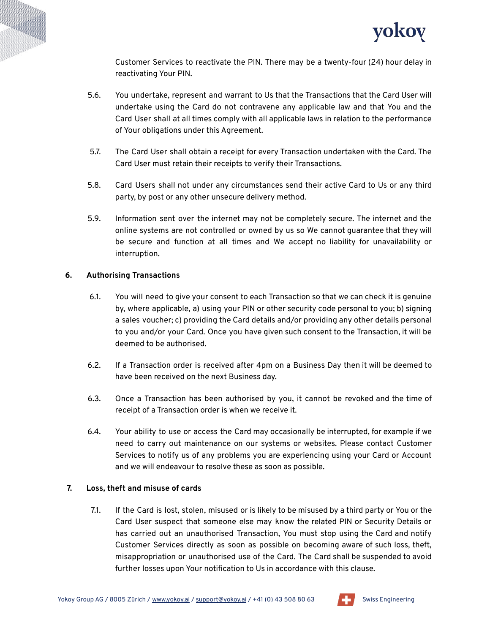Customer Services to reactivate the PIN. There may be a twenty-four (24) hour delay in reactivating Your PIN.

- 5.6. You undertake, represent and warrant to Us that the Transactions that the Card User will undertake using the Card do not contravene any applicable law and that You and the Card User shall at all times comply with all applicable laws in relation to the performance of Your obligations under this Agreement.
- 5.7. The Card User shall obtain a receipt for every Transaction undertaken with the Card. The Card User must retain their receipts to verify their Transactions.
- 5.8. Card Users shall not under any circumstances send their active Card to Us or any third party, by post or any other unsecure delivery method.
- 5.9. Information sent over the internet may not be completely secure. The internet and the online systems are not controlled or owned by us so We cannot guarantee that they will be secure and function at all times and We accept no liability for unavailability or interruption.

#### **6. Authorising Transactions**

- 6.1. You will need to give your consent to each Transaction so that we can check it is genuine by, where applicable, a) using your PIN or other security code personal to you; b) signing a sales voucher; c) providing the Card details and/or providing any other details personal to you and/or your Card. Once you have given such consent to the Transaction, it will be deemed to be authorised.
- 6.2. If a Transaction order is received after 4pm on a Business Day then it will be deemed to have been received on the next Business day.
- 6.3. Once a Transaction has been authorised by you, it cannot be revoked and the time of receipt of a Transaction order is when we receive it.
- 6.4. Your ability to use or access the Card may occasionally be interrupted, for example if we need to carry out maintenance on our systems or websites. Please contact Customer Services to notify us of any problems you are experiencing using your Card or Account and we will endeavour to resolve these as soon as possible.

#### **7. Loss, theft and misuse of cards**

7.1. If the Card is lost, stolen, misused or is likely to be misused by a third party or You or the Card User suspect that someone else may know the related PIN or Security Details or has carried out an unauthorised Transaction, You must stop using the Card and notify Customer Services directly as soon as possible on becoming aware of such loss, theft, misappropriation or unauthorised use of the Card. The Card shall be suspended to avoid further losses upon Your notification to Us in accordance with this clause.

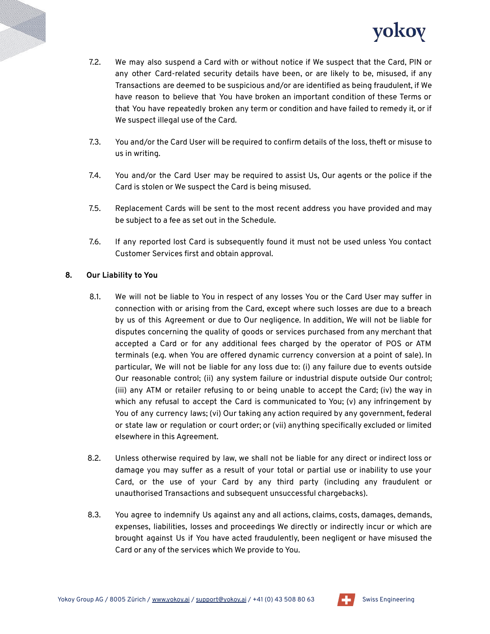# yokoy

- 7.2. We may also suspend a Card with or without notice if We suspect that the Card, PIN or any other Card-related security details have been, or are likely to be, misused, if any Transactions are deemed to be suspicious and/or are identified as being fraudulent, if We have reason to believe that You have broken an important condition of these Terms or that You have repeatedly broken any term or condition and have failed to remedy it, or if We suspect illegal use of the Card.
- 7.3. You and/or the Card User will be required to confirm details of the loss, theft or misuse to us in writing.
- 7.4. You and/or the Card User may be required to assist Us, Our agents or the police if the Card is stolen or We suspect the Card is being misused.
- 7.5. Replacement Cards will be sent to the most recent address you have provided and may be subject to a fee as set out in the Schedule.
- 7.6. If any reported lost Card is subsequently found it must not be used unless You contact Customer Services first and obtain approval.

## **8. Our Liability to You**

- 8.1. We will not be liable to You in respect of any losses You or the Card User may suffer in connection with or arising from the Card, except where such losses are due to a breach by us of this Agreement or due to Our negligence. In addition, We will not be liable for disputes concerning the quality of goods or services purchased from any merchant that accepted a Card or for any additional fees charged by the operator of POS or ATM terminals (e.g. when You are offered dynamic currency conversion at a point of sale). In particular, We will not be liable for any loss due to: (i) any failure due to events outside Our reasonable control; (ii) any system failure or industrial dispute outside Our control; (iii) any ATM or retailer refusing to or being unable to accept the Card; (iv) the way in which any refusal to accept the Card is communicated to You; (v) any infringement by You of any currency laws; (vi) Our taking any action required by any government, federal or state law or regulation or court order; or (vii) anything specifically excluded or limited elsewhere in this Agreement.
- 8.2. Unless otherwise required by law, we shall not be liable for any direct or indirect loss or damage you may suffer as a result of your total or partial use or inability to use your Card, or the use of your Card by any third party (including any fraudulent or unauthorised Transactions and subsequent unsuccessful chargebacks).
- 8.3. You agree to indemnify Us against any and all actions, claims, costs, damages, demands, expenses, liabilities, losses and proceedings We directly or indirectly incur or which are brought against Us if You have acted fraudulently, been negligent or have misused the Card or any of the services which We provide to You.

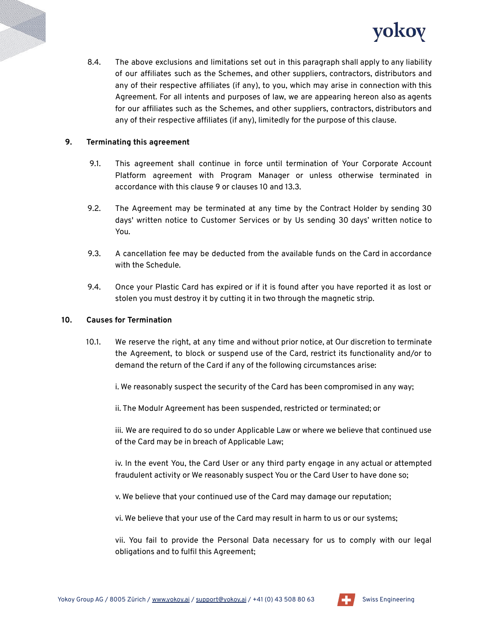

8.4. The above exclusions and limitations set out in this paragraph shall apply to any liability of our affiliates such as the Schemes, and other suppliers, contractors, distributors and any of their respective affiliates (if any), to you, which may arise in connection with this Agreement. For all intents and purposes of law, we are appearing hereon also as agents for our affiliates such as the Schemes, and other suppliers, contractors, distributors and any of their respective affiliates (if any), limitedly for the purpose of this clause.

#### **9. Terminating this agreement**

- 9.1. This agreement shall continue in force until termination of Your Corporate Account Platform agreement with Program Manager or unless otherwise terminated in accordance with this clause 9 or clauses 10 and 13.3.
- 9.2. The Agreement may be terminated at any time by the Contract Holder by sending 30 days' written notice to Customer Services or by Us sending 30 days' written notice to You.
- 9.3. A cancellation fee may be deducted from the available funds on the Card in accordance with the Schedule.
- 9.4. Once your Plastic Card has expired or if it is found after you have reported it as lost or stolen you must destroy it by cutting it in two through the magnetic strip.

#### **10. Causes for Termination**

10.1. We reserve the right, at any time and without prior notice, at Our discretion to terminate the Agreement, to block or suspend use of the Card, restrict its functionality and/or to demand the return of the Card if any of the following circumstances arise:

i. We reasonably suspect the security of the Card has been compromised in any way;

ii. The Modulr Agreement has been suspended, restricted or terminated; or

iii. We are required to do so under Applicable Law or where we believe that continued use of the Card may be in breach of Applicable Law;

iv. In the event You, the Card User or any third party engage in any actual or attempted fraudulent activity or We reasonably suspect You or the Card User to have done so;

v. We believe that your continued use of the Card may damage our reputation;

vi. We believe that your use of the Card may result in harm to us or our systems;

vii. You fail to provide the Personal Data necessary for us to comply with our legal obligations and to fulfil this Agreement;

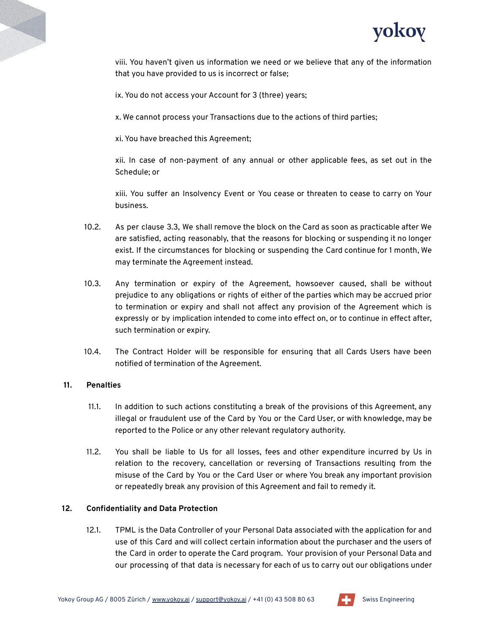viii. You haven't given us information we need or we believe that any of the information that you have provided to us is incorrect or false;

ix. You do not access your Account for 3 (three) years;

x. We cannot process your Transactions due to the actions of third parties;

xi. You have breached this Agreement;

xii. In case of non-payment of any annual or other applicable fees, as set out in the Schedule; or

xiii. You suffer an Insolvency Event or You cease or threaten to cease to carry on Your business.

- 10.2. As per clause 3.3, We shall remove the block on the Card as soon as practicable after We are satisfied, acting reasonably, that the reasons for blocking or suspending it no longer exist. If the circumstances for blocking or suspending the Card continue for 1 month, We may terminate the Agreement instead.
- 10.3. Any termination or expiry of the Agreement, howsoever caused, shall be without prejudice to any obligations or rights of either of the parties which may be accrued prior to termination or expiry and shall not affect any provision of the Agreement which is expressly or by implication intended to come into effect on, or to continue in effect after, such termination or expiry.
- 10.4. The Contract Holder will be responsible for ensuring that all Cards Users have been notified of termination of the Agreement.

#### **11. Penalties**

- 11.1. In addition to such actions constituting a break of the provisions of this Agreement, any illegal or fraudulent use of the Card by You or the Card User, or with knowledge, may be reported to the Police or any other relevant regulatory authority.
- 11.2. You shall be liable to Us for all losses, fees and other expenditure incurred by Us in relation to the recovery, cancellation or reversing of Transactions resulting from the misuse of the Card by You or the Card User or where You break any important provision or repeatedly break any provision of this Agreement and fail to remedy it.

#### **12. Confidentiality and Data Protection**

12.1. TPML is the Data Controller of your Personal Data associated with the application for and use of this Card and will collect certain information about the purchaser and the users of the Card in order to operate the Card program. Your provision of your Personal Data and our processing of that data is necessary for each of us to carry out our obligations under

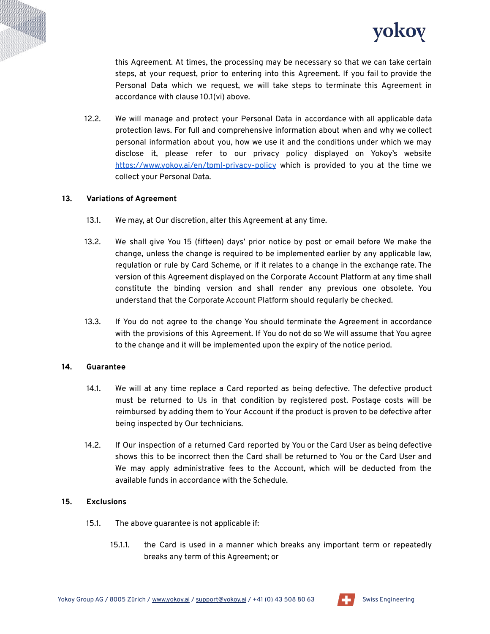

this Agreement. At times, the processing may be necessary so that we can take certain steps, at your request, prior to entering into this Agreement. If you fail to provide the Personal Data which we request, we will take steps to terminate this Agreement in accordance with clause 10.1(vi) above.

12.2. We will manage and protect your Personal Data in accordance with all applicable data protection laws. For full and comprehensive information about when and why we collect personal information about you, how we use it and the conditions under which we may disclose it, please refer to our privacy policy displayed on Yokoy's website <https://www.yokoy.ai/en/tpml-privacy-policy> which is provided to you at the time we collect your Personal Data.

#### **13. Variations of Agreement**

- 13.1. We may, at Our discretion, alter this Agreement at any time.
- 13.2. We shall give You 15 (fifteen) days' prior notice by post or email before We make the change, unless the change is required to be implemented earlier by any applicable law, regulation or rule by Card Scheme, or if it relates to a change in the exchange rate. The version of this Agreement displayed on the Corporate Account Platform at any time shall constitute the binding version and shall render any previous one obsolete. You understand that the Corporate Account Platform should regularly be checked.
- 13.3. If You do not agree to the change You should terminate the Agreement in accordance with the provisions of this Agreement. If You do not do so We will assume that You agree to the change and it will be implemented upon the expiry of the notice period.

#### **14. Guarantee**

- 14.1. We will at any time replace a Card reported as being defective. The defective product must be returned to Us in that condition by registered post. Postage costs will be reimbursed by adding them to Your Account if the product is proven to be defective after being inspected by Our technicians.
- 14.2. If Our inspection of a returned Card reported by You or the Card User as being defective shows this to be incorrect then the Card shall be returned to You or the Card User and We may apply administrative fees to the Account, which will be deducted from the available funds in accordance with the Schedule.

#### **15. Exclusions**

- 15.1. The above guarantee is not applicable if:
	- 15.1.1. the Card is used in a manner which breaks any important term or repeatedly breaks any term of this Agreement; or

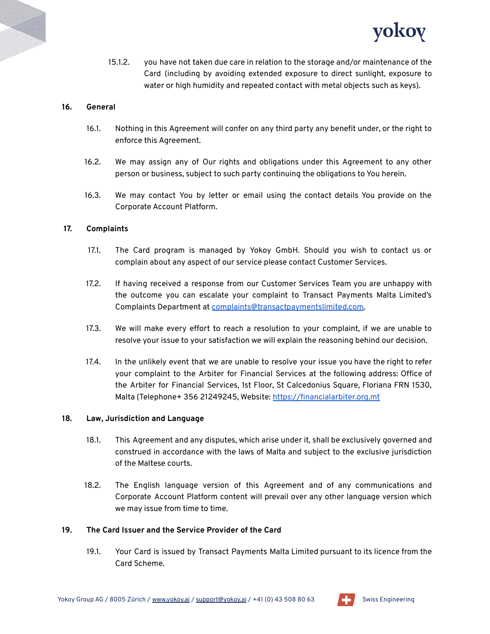

15.1.2. you have not taken due care in relation to the storage and/or maintenance of the Card (including by avoiding extended exposure to direct sunlight, exposure to water or high humidity and repeated contact with metal objects such as keys).

#### **16. General**

- 16.1. Nothing in this Agreement will confer on any third party any benefit under, or the right to enforce this Agreement.
- 16.2. We may assign any of Our rights and obligations under this Agreement to any other person or business, subject to such party continuing the obligations to You herein.
- 16.3. We may contact You by letter or email using the contact details You provide on the Corporate Account Platform.

#### **17. Complaints**

- 17.1. The Card program is managed by Yokoy GmbH. Should you wish to contact us or complain about any aspect of our service please contact Customer Services.
- 17.2. If having received a response from our Customer Services Team you are unhappy with the outcome you can escalate your complaint to Transact Payments Malta Limited's Complaints Department at [complaints@transactpaymentslimited.com.](mailto:complaints@transactpaymentslimited.com)
- 17.3. We will make every effort to reach a resolution to your complaint, if we are unable to resolve your issue to your satisfaction we will explain the reasoning behind our decision.
- 17.4. In the unlikely event that we are unable to resolve your issue you have the right to refer your complaint to the Arbiter for Financial Services at the following address: Office of the Arbiter for Financial Services, 1st Floor, St Calcedonius Square, Floriana FRN 1530, Malta (Telephone+ 356 21249245, Website: <https://financialarbiter.org.mt>

#### **18. Law, Jurisdiction and Language**

- 18.1. This Agreement and any disputes, which arise under it, shall be exclusively governed and construed in accordance with the laws of Malta and subject to the exclusive jurisdiction of the Maltese courts.
- 18.2. The English language version of this Agreement and of any communications and Corporate Account Platform content will prevail over any other language version which we may issue from time to time.

#### **19. The Card Issuer and the Service Provider of the Card**

19.1. Your Card is issued by Transact Payments Malta Limited pursuant to its licence from the Card Scheme.